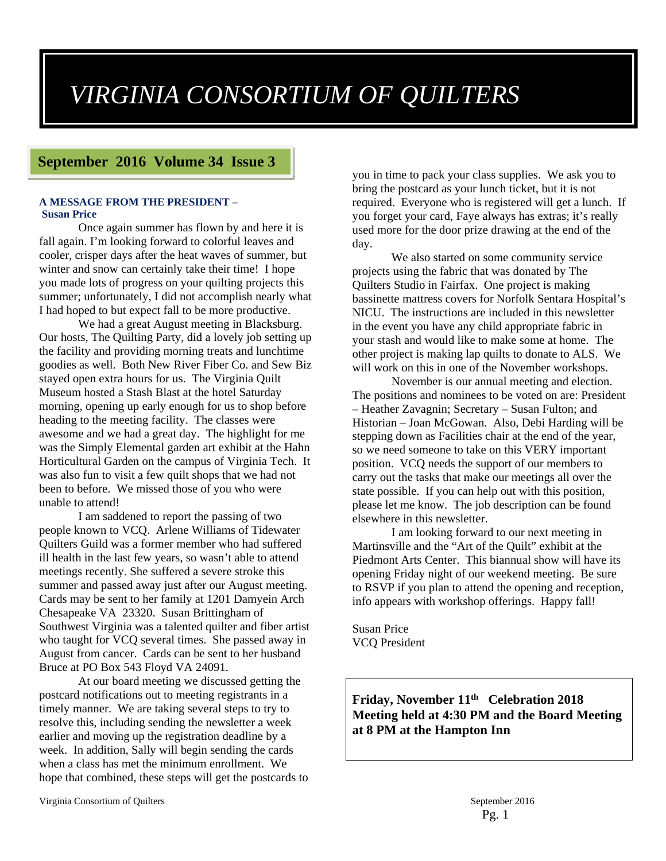# *VIRGINIA CONSORTIUM OF QUILTERS*

## **September 2016 Volume 34 Issue 3**

#### **A MESSAGE FROM THE PRESIDENT – Susan Price**

Once again summer has flown by and here it is fall again. I'm looking forward to colorful leaves and cooler, crisper days after the heat waves of summer, but winter and snow can certainly take their time! I hope you made lots of progress on your quilting projects this summer; unfortunately, I did not accomplish nearly what I had hoped to but expect fall to be more productive.

We had a great August meeting in Blacksburg. Our hosts, The Quilting Party, did a lovely job setting up the facility and providing morning treats and lunchtime goodies as well. Both New River Fiber Co. and Sew Biz stayed open extra hours for us. The Virginia Quilt Museum hosted a Stash Blast at the hotel Saturday morning, opening up early enough for us to shop before heading to the meeting facility. The classes were awesome and we had a great day. The highlight for me was the Simply Elemental garden art exhibit at the Hahn Horticultural Garden on the campus of Virginia Tech. It was also fun to visit a few quilt shops that we had not been to before. We missed those of you who were unable to attend!

I am saddened to report the passing of two people known to VCQ. Arlene Williams of Tidewater Quilters Guild was a former member who had suffered ill health in the last few years, so wasn't able to attend meetings recently. She suffered a severe stroke this summer and passed away just after our August meeting. Cards may be sent to her family at 1201 Damyein Arch Chesapeake VA 23320. Susan Brittingham of Southwest Virginia was a talented quilter and fiber artist who taught for VCQ several times. She passed away in August from cancer. Cards can be sent to her husband Bruce at PO Box 543 Floyd VA 24091.

At our board meeting we discussed getting the postcard notifications out to meeting registrants in a timely manner. We are taking several steps to try to resolve this, including sending the newsletter a week earlier and moving up the registration deadline by a week. In addition, Sally will begin sending the cards when a class has met the minimum enrollment. We hope that combined, these steps will get the postcards to

you in time to pack your class supplies. We ask you to bring the postcard as your lunch ticket, but it is not required. Everyone who is registered will get a lunch. If you forget your card, Faye always has extras; it's really used more for the door prize drawing at the end of the day.

We also started on some community service projects using the fabric that was donated by The Quilters Studio in Fairfax. One project is making bassinette mattress covers for Norfolk Sentara Hospital's NICU. The instructions are included in this newsletter in the event you have any child appropriate fabric in your stash and would like to make some at home. The other project is making lap quilts to donate to ALS. We will work on this in one of the November workshops.

November is our annual meeting and election. The positions and nominees to be voted on are: President – Heather Zavagnin; Secretary – Susan Fulton; and Historian – Joan McGowan. Also, Debi Harding will be stepping down as Facilities chair at the end of the year, so we need someone to take on this VERY important position. VCQ needs the support of our members to carry out the tasks that make our meetings all over the state possible. If you can help out with this position, please let me know. The job description can be found elsewhere in this newsletter.

I am looking forward to our next meeting in Martinsville and the "Art of the Quilt" exhibit at the Piedmont Arts Center. This biannual show will have its opening Friday night of our weekend meeting. Be sure to RSVP if you plan to attend the opening and reception, info appears with workshop offerings. Happy fall!

Susan Price VCQ President

**Friday, November 11th Celebration 2018 Meeting held at 4:30 PM and the Board Meeting at 8 PM at the Hampton Inn**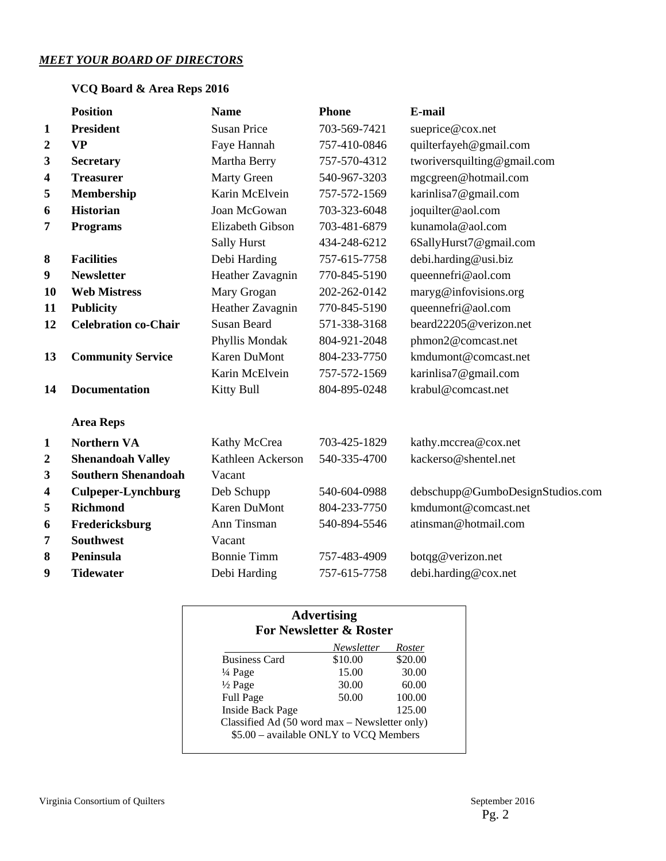### *MEET YOUR BOARD OF DIRECTORS*

## **VCQ Board & Area Reps 2016**

|                         | <b>Position</b>             | <b>Name</b>         | <b>Phone</b> | E-mail                           |
|-------------------------|-----------------------------|---------------------|--------------|----------------------------------|
| $\mathbf{1}$            | <b>President</b>            | <b>Susan Price</b>  | 703-569-7421 | sueprice@cox.net                 |
| $\boldsymbol{2}$        | <b>VP</b>                   | Faye Hannah         | 757-410-0846 | quilterfayeh@gmail.com           |
| 3                       | <b>Secretary</b>            | Martha Berry        | 757-570-4312 | tworiversquilting@gmail.com      |
| $\overline{\mathbf{4}}$ | <b>Treasurer</b>            | <b>Marty Green</b>  | 540-967-3203 | mgcgreen@hotmail.com             |
| 5                       | Membership                  | Karin McElvein      | 757-572-1569 | karinlisa7@gmail.com             |
| 6                       | <b>Historian</b>            | Joan McGowan        | 703-323-6048 | joquilter@aol.com                |
| 7                       | <b>Programs</b>             | Elizabeth Gibson    | 703-481-6879 | kunamola@aol.com                 |
|                         |                             | <b>Sally Hurst</b>  | 434-248-6212 | 6SallyHurst7@gmail.com           |
| 8                       | <b>Facilities</b>           | Debi Harding        | 757-615-7758 | debi.harding@usi.biz             |
| 9                       | <b>Newsletter</b>           | Heather Zavagnin    | 770-845-5190 | queennefri@aol.com               |
| <b>10</b>               | <b>Web Mistress</b>         | Mary Grogan         | 202-262-0142 | maryg@infovisions.org            |
| 11                      | <b>Publicity</b>            | Heather Zavagnin    | 770-845-5190 | queennefri@aol.com               |
| 12                      | <b>Celebration co-Chair</b> | <b>Susan Beard</b>  | 571-338-3168 | beard22205@verizon.net           |
|                         |                             | Phyllis Mondak      | 804-921-2048 | phmon2@comcast.net               |
| 13                      | <b>Community Service</b>    | <b>Karen DuMont</b> | 804-233-7750 | kmdumont@comcast.net             |
|                         |                             | Karin McElvein      | 757-572-1569 | karinlisa7@gmail.com             |
| 14                      | <b>Documentation</b>        | <b>Kitty Bull</b>   | 804-895-0248 | krabul@comcast.net               |
|                         | <b>Area Reps</b>            |                     |              |                                  |
| $\mathbf{1}$            | <b>Northern VA</b>          | Kathy McCrea        | 703-425-1829 | kathy.mccrea@cox.net             |
| $\boldsymbol{2}$        | <b>Shenandoah Valley</b>    | Kathleen Ackerson   | 540-335-4700 | kackerso@shentel.net             |
| 3                       | <b>Southern Shenandoah</b>  | Vacant              |              |                                  |
| $\overline{\mathbf{4}}$ | <b>Culpeper-Lynchburg</b>   | Deb Schupp          | 540-604-0988 | debschupp@GumboDesignStudios.com |
| 5                       | <b>Richmond</b>             | <b>Karen DuMont</b> | 804-233-7750 | kmdumont@comcast.net             |
| 6                       | Fredericksburg              | Ann Tinsman         | 540-894-5546 | atinsman@hotmail.com             |
| 7                       | <b>Southwest</b>            | Vacant              |              |                                  |
| 8                       | Peninsula                   | <b>Bonnie Timm</b>  | 757-483-4909 | botqg@verizon.net                |
| 9                       | <b>Tidewater</b>            | Debi Harding        | 757-615-7758 | debi.harding@cox.net             |

|                      | Newsletter | Roster  |
|----------------------|------------|---------|
| <b>Business Card</b> | \$10.00    | \$20.00 |
| $\frac{1}{4}$ Page   | 15.00      | 30.00   |
| $\frac{1}{2}$ Page   | 30.00      | 60.00   |
| <b>Full Page</b>     | 50.00      | 100.00  |
| Inside Back Page     |            | 125.00  |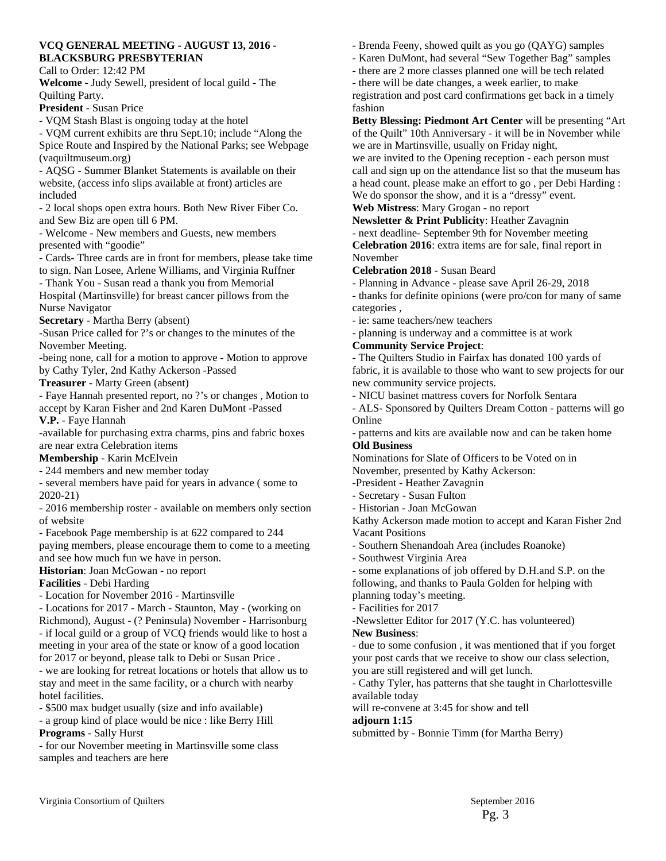### **VCQ GENERAL MEETING - AUGUST 13, 2016 - BLACKSBURG PRESBYTERIAN**

Call to Order: 12:42 PM

**Welcome** - Judy Sewell, president of local guild - The Quilting Party.

**President** - Susan Price

- VQM Stash Blast is ongoing today at the hotel

- VQM current exhibits are thru Sept.10; include "Along the Spice Route and Inspired by the National Parks; see Webpage (vaquiltmuseum.org)

- AQSG - Summer Blanket Statements is available on their website, (access info slips available at front) articles are included

- 2 local shops open extra hours. Both New River Fiber Co. and Sew Biz are open till 6 PM.

- Welcome - New members and Guests, new members presented with "goodie"

- Cards- Three cards are in front for members, please take time to sign. Nan Losee, Arlene Williams, and Virginia Ruffner

- Thank You - Susan read a thank you from Memorial Hospital (Martinsville) for breast cancer pillows from the Nurse Navigator

#### **Secretary** - Martha Berry (absent)

-Susan Price called for ?'s or changes to the minutes of the November Meeting.

-being none, call for a motion to approve - Motion to approve by Cathy Tyler, 2nd Kathy Ackerson -Passed

**Treasurer** - Marty Green (absent)

- Faye Hannah presented report, no ?'s or changes , Motion to accept by Karan Fisher and 2nd Karen DuMont -Passed **V.P.** - Faye Hannah

-available for purchasing extra charms, pins and fabric boxes are near extra Celebration items

### **Membership** - Karin McElvein

- 244 members and new member today

- several members have paid for years in advance ( some to 2020-21)

- 2016 membership roster - available on members only section of website

- Facebook Page membership is at 622 compared to 244

paying members, please encourage them to come to a meeting and see how much fun we have in person.

**Historian**: Joan McGowan - no report

#### **Facilities** - Debi Harding

- Location for November 2016 - Martinsville

- Locations for 2017 - March - Staunton, May - (working on Richmond), August - (? Peninsula) November - Harrisonburg - if local guild or a group of VCQ friends would like to host a meeting in your area of the state or know of a good location for 2017 or beyond, please talk to Debi or Susan Price .

- we are looking for retreat locations or hotels that allow us to stay and meet in the same facility, or a church with nearby hotel facilities.

- \$500 max budget usually (size and info available)

- a group kind of place would be nice : like Berry Hill **Programs** - Sally Hurst

- for our November meeting in Martinsville some class samples and teachers are here

- Brenda Feeny, showed quilt as you go (QAYG) samples
- Karen DuMont, had several "Sew Together Bag" samples
- there are 2 more classes planned one will be tech related
- there will be date changes, a week earlier, to make

registration and post card confirmations get back in a timely fashion

**Betty Blessing: Piedmont Art Center** will be presenting "Art of the Quilt" 10th Anniversary - it will be in November while we are in Martinsville, usually on Friday night,

we are invited to the Opening reception - each person must call and sign up on the attendance list so that the museum has a head count. please make an effort to go , per Debi Harding : We do sponsor the show, and it is a "dressy" event.

### **Web Mistress**: Mary Grogan - no report

**Newsletter & Print Publicity**: Heather Zavagnin

- next deadline- September 9th for November meeting **Celebration 2016**: extra items are for sale, final report in November

### **Celebration 2018** - Susan Beard

- Planning in Advance - please save April 26-29, 2018

- thanks for definite opinions (were pro/con for many of same categories ,

- ie: same teachers/new teachers

- planning is underway and a committee is at work

### **Community Service Project**:

- The Quilters Studio in Fairfax has donated 100 yards of fabric, it is available to those who want to sew projects for our new community service projects.

- NICU basinet mattress covers for Norfolk Sentara

- ALS- Sponsored by Quilters Dream Cotton - patterns will go Online

- patterns and kits are available now and can be taken home **Old Business** 

Nominations for Slate of Officers to be Voted on in November, presented by Kathy Ackerson:

-President - Heather Zavagnin

- Secretary Susan Fulton
- Historian Joan McGowan

Kathy Ackerson made motion to accept and Karan Fisher 2nd Vacant Positions

- Southern Shenandoah Area (includes Roanoke)

- Southwest Virginia Area

- some explanations of job offered by D.H.and S.P. on the following, and thanks to Paula Golden for helping with planning today's meeting.

- Facilities for 2017

-Newsletter Editor for 2017 (Y.C. has volunteered)

### **New Business**:

- due to some confusion , it was mentioned that if you forget your post cards that we receive to show our class selection, you are still registered and will get lunch.

- Cathy Tyler, has patterns that she taught in Charlottesville available today

will re-convene at 3:45 for show and tell

**adjourn 1:15** 

submitted by - Bonnie Timm (for Martha Berry)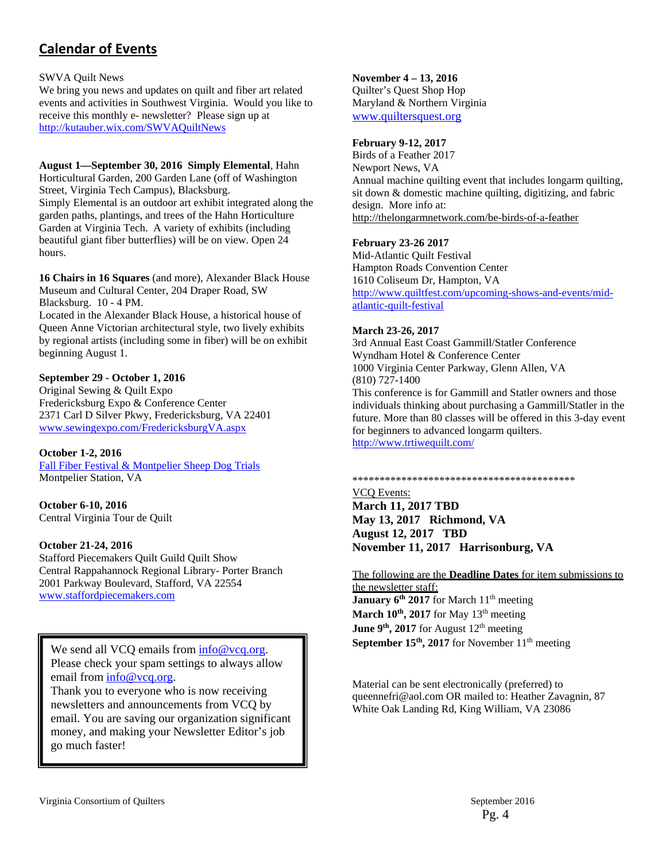# **Calendar of Events**

SWVA Quilt News

We bring you news and updates on quilt and fiber art related events and activities in Southwest Virginia. Would you like to receive this monthly e- newsletter? Please sign up at http://kutauber.wix.com/SWVAQuiltNews

**August 1—September 30, 2016 Simply Elemental**, Hahn Horticultural Garden, 200 Garden Lane (off of Washington Street, Virginia Tech Campus), Blacksburg. Simply Elemental is an outdoor art exhibit integrated along the garden paths, plantings, and trees of the Hahn Horticulture Garden at Virginia Tech. A variety of exhibits (including beautiful giant fiber butterflies) will be on view. Open 24 hours.

**16 Chairs in 16 Squares** (and more), Alexander Black House Museum and Cultural Center, 204 Draper Road, SW Blacksburg. 10 - 4 PM.

Located in the Alexander Black House, a historical house of Queen Anne Victorian architectural style, two lively exhibits by regional artists (including some in fiber) will be on exhibit beginning August 1.

### **September 29 - October 1, 2016**

Original Sewing & Quilt Expo Fredericksburg Expo & Conference Center 2371 Carl D Silver Pkwy, Fredericksburg, VA 22401 www.sewingexpo.com/FredericksburgVA.aspx

**October 1-2, 2016**

Fall Fiber Festival & Montpelier Sheep Dog Trials Montpelier Station, VA

**October 6-10, 2016** Central Virginia Tour de Quilt

#### **October 21-24, 2016**

Stafford Piecemakers Quilt Guild Quilt Show Central Rappahannock Regional Library- Porter Branch 2001 Parkway Boulevard, Stafford, VA 22554 www.staffordpiecemakers.com

We send all VCO emails from  $info@veq.org$ . Please check your spam settings to always allow email from info@vcq.org.

Thank you to everyone who is now receiving newsletters and announcements from VCQ by email. You are saving our organization significant money, and making your Newsletter Editor's job go much faster!

#### **November 4 – 13, 2016**

Quilter's Quest Shop Hop Maryland & Northern Virginia www.quiltersquest.org

#### **February 9-12, 2017**

Birds of a Feather 2017 Newport News, VA Annual machine quilting event that includes longarm quilting, sit down & domestic machine quilting, digitizing, and fabric design. More info at: http://thelongarmnetwork.com/be-birds-of-a-feather

#### **February 23-26 2017**

Mid-Atlantic Quilt Festival Hampton Roads Convention Center 1610 Coliseum Dr, Hampton, VA http://www.quiltfest.com/upcoming-shows-and-events/midatlantic-quilt-festival

#### **March 23-26, 2017**

3rd Annual East Coast Gammill/Statler Conference Wyndham Hotel & Conference Center 1000 Virginia Center Parkway, Glenn Allen, VA (810) 727-1400 This conference is for Gammill and Statler owners and those individuals thinking about purchasing a Gammill/Statler in the future. More than 80 classes will be offered in this 3-day event for beginners to advanced longarm quilters. http://www.trtiwequilt.com/

#### \*\*\*\*\*\*\*\*\*\*\*\*\*\*\*\*\*\*\*\*\*\*\*\*\*\*\*\*\*\*\*\*\*\*\*\*\*\*\*\*\*

VCQ Events: **March 11, 2017 TBD May 13, 2017 Richmond, VA August 12, 2017 TBD November 11, 2017 Harrisonburg, VA** 

The following are the **Deadline Dates** for item submissions to the newsletter staff: **January 6<sup>th</sup> 2017** for March 11<sup>th</sup> meeting March 10<sup>th</sup>, 2017 for May 13<sup>th</sup> meeting **June 9<sup>th</sup>, 2017** for August 12<sup>th</sup> meeting September 15<sup>th</sup>, 2017 for November 11<sup>th</sup> meeting

Material can be sent electronically (preferred) to queennefri@aol.com OR mailed to: Heather Zavagnin, 87 White Oak Landing Rd, King William, VA 23086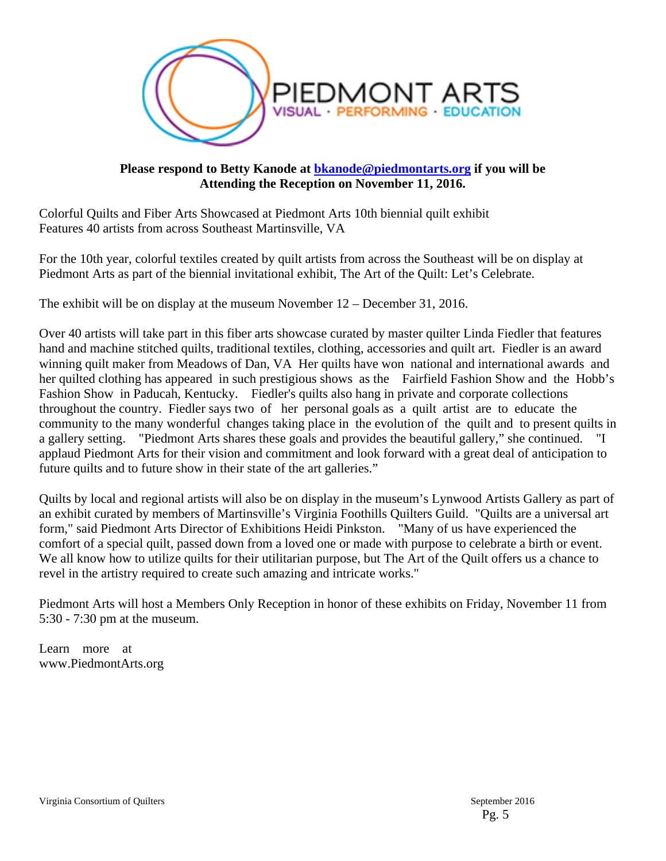

### **Please respond to Betty Kanode at bkanode@piedmontarts.org if you will be Attending the Reception on November 11, 2016.**

Colorful Quilts and Fiber Arts Showcased at Piedmont Arts 10th biennial quilt exhibit Features 40 artists from across Southeast Martinsville, VA

For the 10th year, colorful textiles created by quilt artists from across the Southeast will be on display at Piedmont Arts as part of the biennial invitational exhibit, The Art of the Quilt: Let's Celebrate.

The exhibit will be on display at the museum November 12 – December 31, 2016.

Over 40 artists will take part in this fiber arts showcase curated by master quilter Linda Fiedler that features hand and machine stitched quilts, traditional textiles, clothing, accessories and quilt art. Fiedler is an award winning quilt maker from Meadows of Dan, VA Her quilts have won national and international awards and her quilted clothing has appeared in such prestigious shows as the Fairfield Fashion Show and the Hobb's Fashion Show in Paducah, Kentucky. Fiedler's quilts also hang in private and corporate collections throughout the country. Fiedler says two of her personal goals as a quilt artist are to educate the community to the many wonderful changes taking place in the evolution of the quilt and to present quilts in a gallery setting. "Piedmont Arts shares these goals and provides the beautiful gallery," she continued. "I applaud Piedmont Arts for their vision and commitment and look forward with a great deal of anticipation to future quilts and to future show in their state of the art galleries."

Quilts by local and regional artists will also be on display in the museum's Lynwood Artists Gallery as part of an exhibit curated by members of Martinsville's Virginia Foothills Quilters Guild. "Quilts are a universal art form," said Piedmont Arts Director of Exhibitions Heidi Pinkston. "Many of us have experienced the comfort of a special quilt, passed down from a loved one or made with purpose to celebrate a birth or event. We all know how to utilize quilts for their utilitarian purpose, but The Art of the Quilt offers us a chance to revel in the artistry required to create such amazing and intricate works."

Piedmont Arts will host a Members Only Reception in honor of these exhibits on Friday, November 11 from 5:30 - 7:30 pm at the museum.

Learn more at www.PiedmontArts.org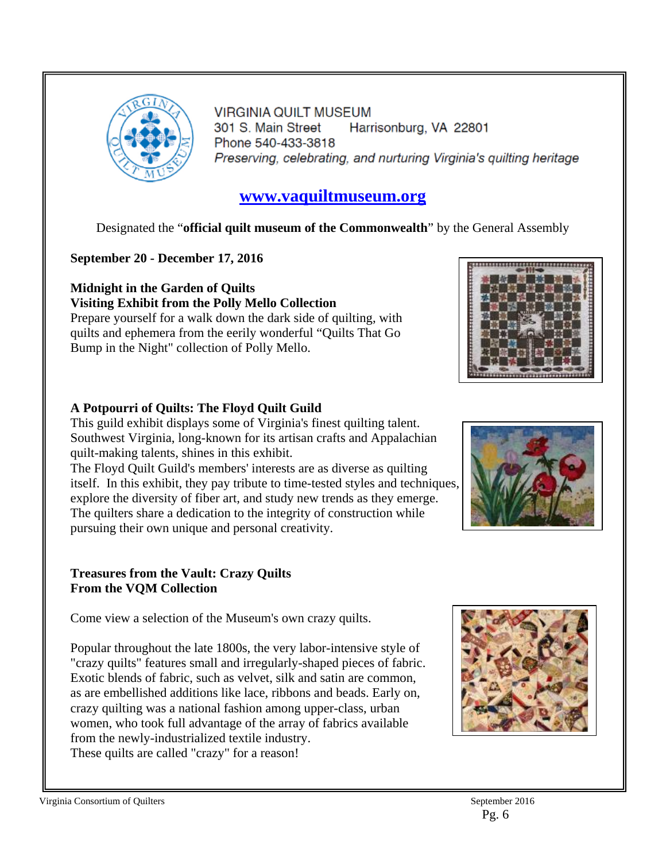

**VIRGINIA QUILT MUSEUM** 301 S. Main Street Harrisonburg, VA 22801 Phone 540-433-3818 Preserving, celebrating, and nurturing Virginia's quilting heritage

# **www.vaquiltmuseum.org**

Designated the "**official quilt museum of the Commonwealth**" by the General Assembly

# **September 20 - December 17, 2016**

## **Midnight in the Garden of Quilts Visiting Exhibit from the Polly Mello Collection**

Prepare yourself for a walk down the dark side of quilting, with quilts and ephemera from the eerily wonderful "Quilts That Go Bump in the Night" collection of Polly Mello.

# **A Potpourri of Quilts: The Floyd Quilt Guild**

This guild exhibit displays some of Virginia's finest quilting talent. Southwest Virginia, long-known for its artisan crafts and Appalachian quilt-making talents, shines in this exhibit.

The Floyd Quilt Guild's members' interests are as diverse as quilting itself. In this exhibit, they pay tribute to time-tested styles and techniques, explore the diversity of fiber art, and study new trends as they emerge. The quilters share a dedication to the integrity of construction while pursuing their own unique and personal creativity.

## **Treasures from the Vault: Crazy Quilts From the VQM Collection**

Come view a selection of the Museum's own crazy quilts.

Popular throughout the late 1800s, the very labor-intensive style of "crazy quilts" features small and irregularly-shaped pieces of fabric. Exotic blends of fabric, such as velvet, silk and satin are common, as are embellished additions like lace, ribbons and beads. Early on, crazy quilting was a national fashion among upper-class, urban women, who took full advantage of the array of fabrics available from the newly-industrialized textile industry. These quilts are called "crazy" for a reason!





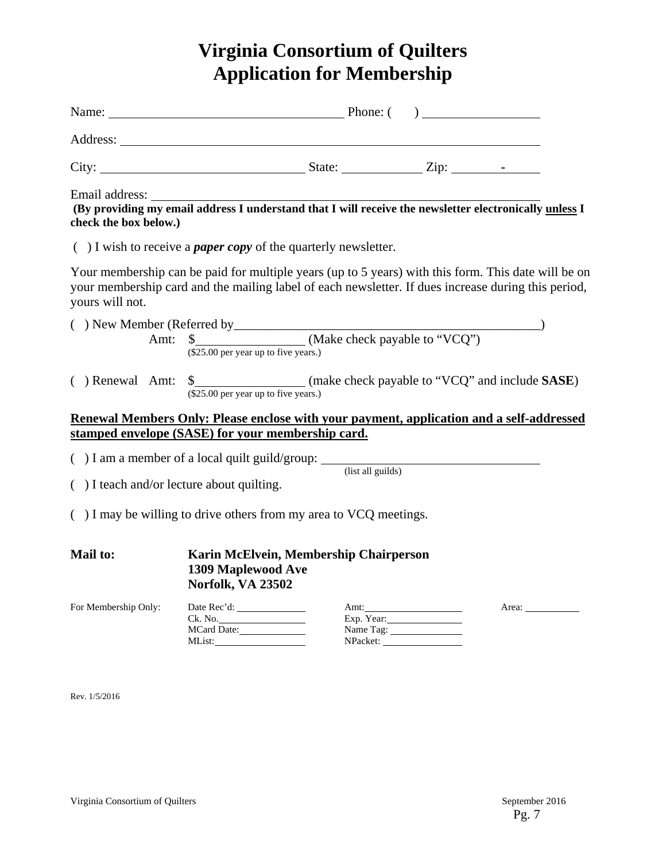# **Virginia Consortium of Quilters Application for Membership**

|                                         | Name: $\qquad \qquad$ Phone: $\qquad \qquad$ Phone: $\qquad \qquad$                                                                                                                                        |                                 |       |
|-----------------------------------------|------------------------------------------------------------------------------------------------------------------------------------------------------------------------------------------------------------|---------------------------------|-------|
|                                         |                                                                                                                                                                                                            |                                 |       |
|                                         |                                                                                                                                                                                                            |                                 |       |
| Email address:<br>check the box below.) | (By providing my email address I understand that I will receive the newsletter electronically unless I                                                                                                     |                                 |       |
|                                         | $( )$ I wish to receive a <i>paper copy</i> of the quarterly newsletter.                                                                                                                                   |                                 |       |
| yours will not.                         | Your membership can be paid for multiple years (up to 5 years) with this form. This date will be on<br>your membership card and the mailing label of each newsletter. If dues increase during this period, |                                 |       |
|                                         | Amt: \$ (\$25.00 per year up to five years.)<br>(\$25.00 per year up to five years.)                                                                                                                       |                                 |       |
| ( ) Renewal Amt:                        | \$<br>(\$25.00 per year up to five years.)<br>(\$25.00 per year up to five years.)                                                                                                                         |                                 |       |
|                                         | Renewal Members Only: Please enclose with your payment, application and a self-addressed<br>stamped envelope (SASE) for your membership card.                                                              |                                 |       |
|                                         | $( ) I$ am a member of a local quilt guild/group: $\frac{1}{\text{(list all guides)}}$                                                                                                                     |                                 |       |
|                                         | $( )$ I teach and/or lecture about quilting.                                                                                                                                                               |                                 |       |
|                                         | $( )$ I may be willing to drive others from my area to VCQ meetings.                                                                                                                                       |                                 |       |
| Mail to:                                | Karin McElvein, Membership Chairperson<br>1309 Maplewood Ave<br>Norfolk, VA 23502                                                                                                                          |                                 |       |
| For Membership Only:                    | MCard Date:                                                                                                                                                                                                | Amt:<br>Exp. Year:<br>Name Tag: | Area: |
| Rev. 1/5/2016                           |                                                                                                                                                                                                            |                                 |       |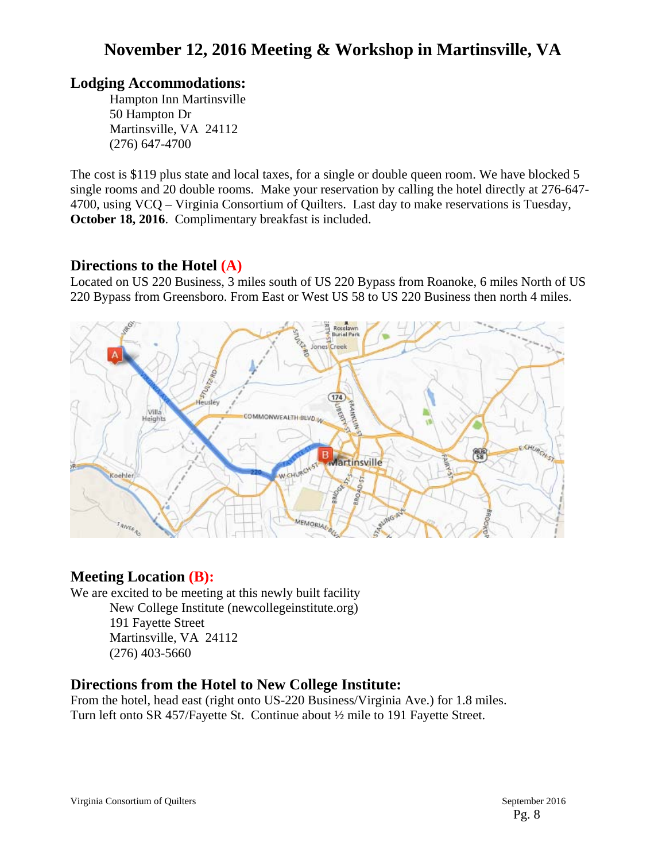# **November 12, 2016 Meeting & Workshop in Martinsville, VA**

# **Lodging Accommodations:**

Hampton Inn Martinsville 50 Hampton Dr Martinsville, VA 24112 (276) 647-4700

The cost is \$119 plus state and local taxes, for a single or double queen room. We have blocked 5 single rooms and 20 double rooms. Make your reservation by calling the hotel directly at 276-647- 4700, using VCQ – Virginia Consortium of Quilters. Last day to make reservations is Tuesday, **October 18, 2016**. Complimentary breakfast is included.

# **Directions to the Hotel (A)**

Located on US 220 Business, 3 miles south of US 220 Bypass from Roanoke, 6 miles North of US 220 Bypass from Greensboro. From East or West US 58 to US 220 Business then north 4 miles.



# **Meeting Location (B):**

We are excited to be meeting at this newly built facility

New College Institute (newcollegeinstitute.org) 191 Fayette Street Martinsville, VA 24112 (276) 403-5660

# **Directions from the Hotel to New College Institute:**

From the hotel, head east (right onto US-220 Business/Virginia Ave.) for 1.8 miles. Turn left onto SR 457/Fayette St. Continue about ½ mile to 191 Fayette Street.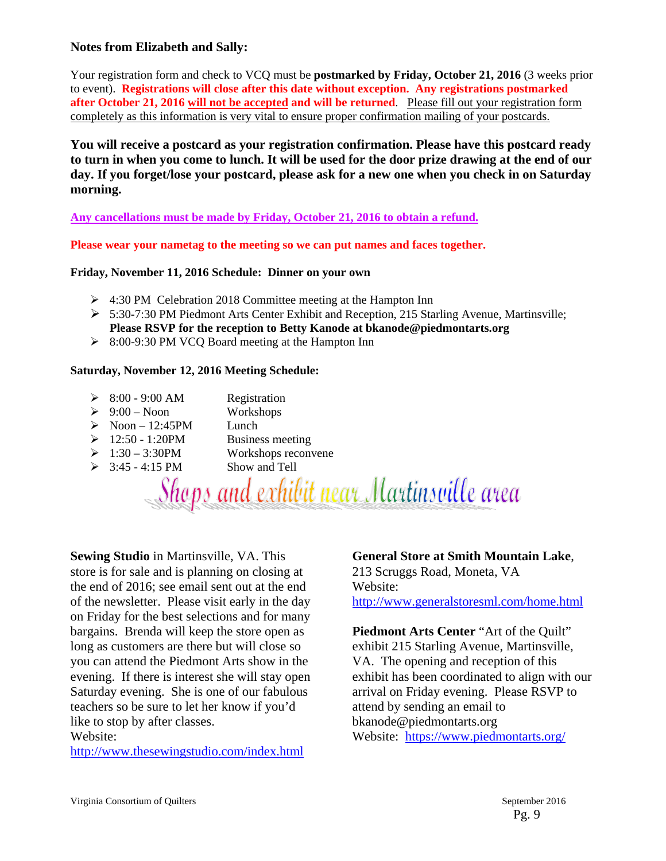### **Notes from Elizabeth and Sally:**

Your registration form and check to VCQ must be **postmarked by Friday, October 21, 2016** (3 weeks prior to event). **Registrations will close after this date without exception. Any registrations postmarked after October 21, 2016 will not be accepted and will be returned**. Please fill out your registration form completely as this information is very vital to ensure proper confirmation mailing of your postcards.

**You will receive a postcard as your registration confirmation. Please have this postcard ready to turn in when you come to lunch. It will be used for the door prize drawing at the end of our day. If you forget/lose your postcard, please ask for a new one when you check in on Saturday morning.**

**Any cancellations must be made by Friday, October 21, 2016 to obtain a refund.** 

**Please wear your nametag to the meeting so we can put names and faces together.** 

### **Friday, November 11, 2016 Schedule: Dinner on your own**

- 4:30 PM Celebration 2018 Committee meeting at the Hampton Inn
- $\geq 5:30-7:30$  PM Piedmont Arts Center Exhibit and Reception, 215 Starling Avenue, Martinsville; **Please RSVP for the reception to Betty Kanode at bkanode@piedmontarts.org**
- ▶ 8:00-9:30 PM VCQ Board meeting at the Hampton Inn

### **Saturday, November 12, 2016 Meeting Schedule:**

- $\geq$  8:00 9:00 AM Registration
- $\geq 9:00$  Noon Workshops
- $\triangleright$  Noon 12:45PM Lunch
- $\geq 12:50 1:20$ PM Business meeting
- $\geq 1:30 3:30$ PM Workshops reconvene
- $\geq$  3:45 4:15 PM Show and Tell

Shops and exhibit near Martinsville area

**Sewing Studio** in Martinsville, VA. This store is for sale and is planning on closing at the end of 2016; see email sent out at the end of the newsletter. Please visit early in the day on Friday for the best selections and for many bargains. Brenda will keep the store open as long as customers are there but will close so you can attend the Piedmont Arts show in the evening. If there is interest she will stay open Saturday evening. She is one of our fabulous teachers so be sure to let her know if you'd like to stop by after classes. Website:

http://www.thesewingstudio.com/index.html

## **General Store at Smith Mountain Lake**,

213 Scruggs Road, Moneta, VA Website: http://www.generalstoresml.com/home.html

**Piedmont Arts Center** "Art of the Quilt" exhibit 215 Starling Avenue, Martinsville, VA. The opening and reception of this exhibit has been coordinated to align with our arrival on Friday evening. Please RSVP to attend by sending an email to bkanode@piedmontarts.org Website: https://www.piedmontarts.org/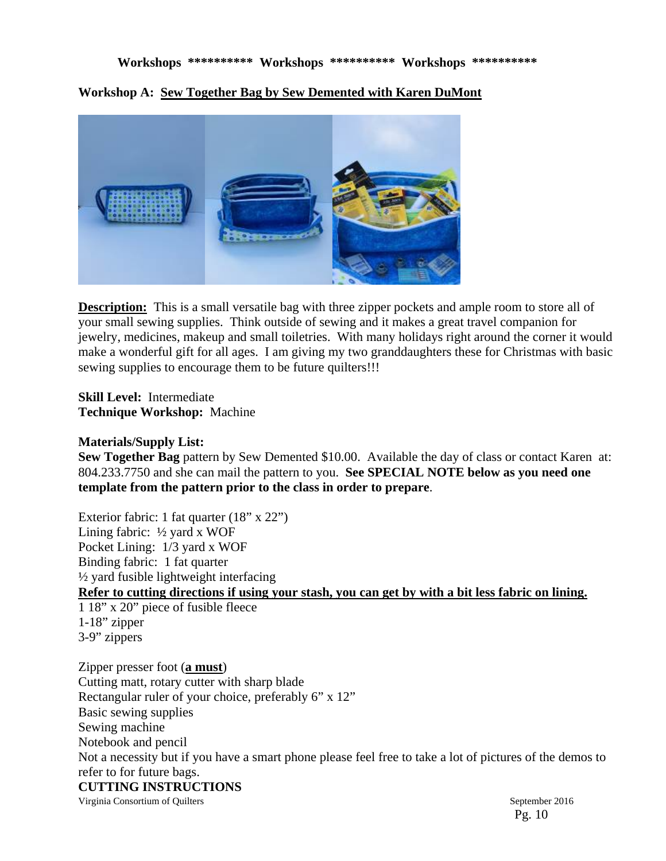### **Workshops \*\*\*\*\*\*\*\*\*\* Workshops \*\*\*\*\*\*\*\*\*\* Workshops \*\*\*\*\*\*\*\*\*\***

**Workshop A: Sew Together Bag by Sew Demented with Karen DuMont** 



**Description:** This is a small versatile bag with three zipper pockets and ample room to store all of your small sewing supplies. Think outside of sewing and it makes a great travel companion for jewelry, medicines, makeup and small toiletries. With many holidays right around the corner it would make a wonderful gift for all ages. I am giving my two granddaughters these for Christmas with basic sewing supplies to encourage them to be future quilters!!!

**Skill Level:** Intermediate **Technique Workshop:** Machine

### **Materials/Supply List:**

**Sew Together Bag** pattern by Sew Demented \$10.00. Available the day of class or contact Karen at: 804.233.7750 and she can mail the pattern to you. **See SPECIAL NOTE below as you need one template from the pattern prior to the class in order to prepare**.

Exterior fabric: 1 fat quarter (18" x 22") Lining fabric: ½ yard x WOF Pocket Lining: 1/3 yard x WOF Binding fabric: 1 fat quarter ½ yard fusible lightweight interfacing **Refer to cutting directions if using your stash, you can get by with a bit less fabric on lining.**  1 18" x 20" piece of fusible fleece 1-18" zipper 3-9" zippers Zipper presser foot (**a must**) Cutting matt, rotary cutter with sharp blade Rectangular ruler of your choice, preferably 6" x 12" Basic sewing supplies Sewing machine

Notebook and pencil Not a necessity but if you have a smart phone please feel free to take a lot of pictures of the demos to refer to for future bags. **CUTTING INSTRUCTIONS**

Virginia Consortium of Quilters September 2016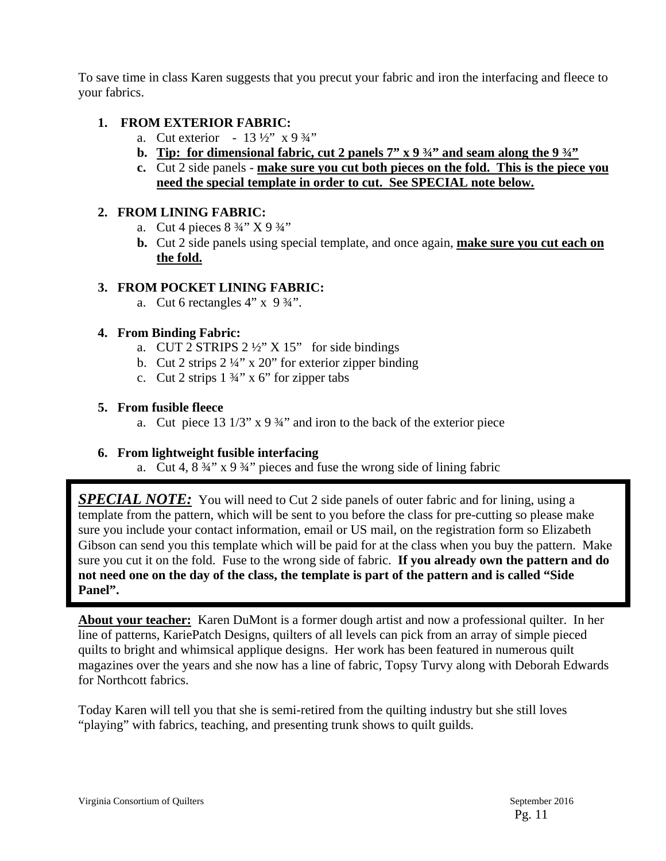To save time in class Karen suggests that you precut your fabric and iron the interfacing and fleece to your fabrics.

## **1. FROM EXTERIOR FABRIC:**

- a. Cut exterior  $13\frac{1}{2}$  x 9  $\frac{3}{4}$ "
- **b. Tip:** for dimensional fabric, cut 2 panels  $7''$  x 9  $\frac{3}{4}''$  and seam along the 9  $\frac{3}{4}''$
- **c.** Cut 2 side panels **make sure you cut both pieces on the fold. This is the piece you need the special template in order to cut. See SPECIAL note below.**

## **2. FROM LINING FABRIC:**

- a. Cut 4 pieces  $8\frac{3}{4}$ " X 9  $\frac{3}{4}$ "
- **b.** Cut 2 side panels using special template, and once again, **make sure you cut each on the fold.**

## **3. FROM POCKET LINING FABRIC:**

a. Cut 6 rectangles  $4$ " x  $9\frac{3}{4}$ ".

## **4. From Binding Fabric:**

- a. CUT 2 STRIPS  $2\frac{1}{2}$  X 15" for side bindings
- b. Cut 2 strips  $2\frac{1}{4}$ " x 20" for exterior zipper binding
- c. Cut 2 strips  $1 \frac{3}{4}$ " x 6" for zipper tabs

### **5. From fusible fleece**

a. Cut piece 13  $1/3$ " x 9  $\frac{3}{4}$ " and iron to the back of the exterior piece

## **6. From lightweight fusible interfacing**

a. Cut 4,  $8\frac{3}{4}$ " x  $9\frac{3}{4}$ " pieces and fuse the wrong side of lining fabric

**SPECIAL NOTE:** You will need to Cut 2 side panels of outer fabric and for lining, using a template from the pattern, which will be sent to you before the class for pre-cutting so please make sure you include your contact information, email or US mail, on the registration form so Elizabeth Gibson can send you this template which will be paid for at the class when you buy the pattern. Make sure you cut it on the fold. Fuse to the wrong side of fabric. **If you already own the pattern and do not need one on the day of the class, the template is part of the pattern and is called "Side Panel".** 

**About your teacher:** Karen DuMont is a former dough artist and now a professional quilter. In her line of patterns, KariePatch Designs, quilters of all levels can pick from an array of simple pieced quilts to bright and whimsical applique designs. Her work has been featured in numerous quilt magazines over the years and she now has a line of fabric, Topsy Turvy along with Deborah Edwards for Northcott fabrics.

Today Karen will tell you that she is semi-retired from the quilting industry but she still loves "playing" with fabrics, teaching, and presenting trunk shows to quilt guilds.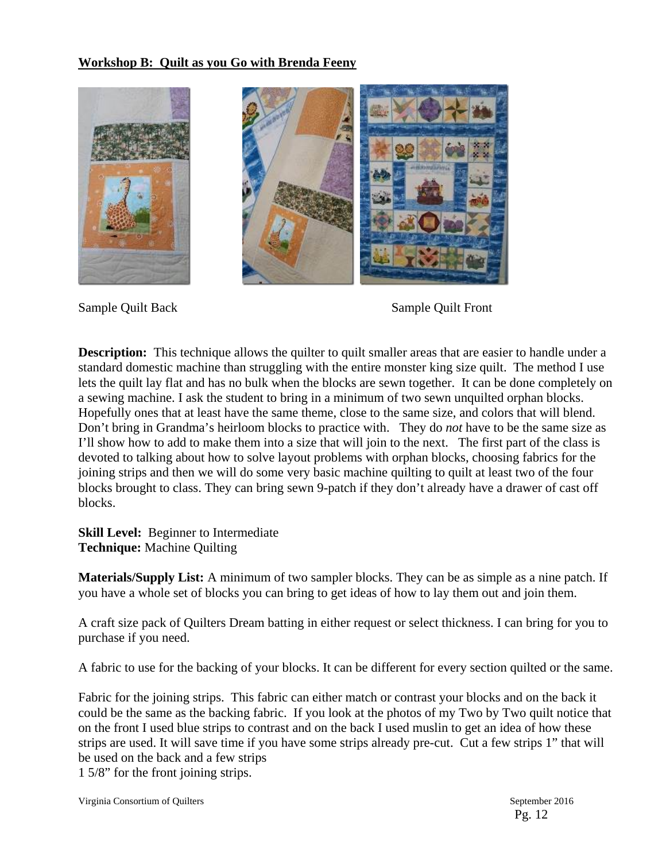### **Workshop B: Quilt as you Go with Brenda Feeny**



Sample Quilt Back Sample Quilt Front

**Description:** This technique allows the quilter to quilt smaller areas that are easier to handle under a standard domestic machine than struggling with the entire monster king size quilt. The method I use lets the quilt lay flat and has no bulk when the blocks are sewn together. It can be done completely on a sewing machine. I ask the student to bring in a minimum of two sewn unquilted orphan blocks. Hopefully ones that at least have the same theme, close to the same size, and colors that will blend. Don't bring in Grandma's heirloom blocks to practice with. They do *not* have to be the same size as I'll show how to add to make them into a size that will join to the next. The first part of the class is devoted to talking about how to solve layout problems with orphan blocks, choosing fabrics for the joining strips and then we will do some very basic machine quilting to quilt at least two of the four blocks brought to class. They can bring sewn 9-patch if they don't already have a drawer of cast off blocks.

**Skill Level:** Beginner to Intermediate **Technique:** Machine Quilting

**Materials/Supply List:** A minimum of two sampler blocks. They can be as simple as a nine patch. If you have a whole set of blocks you can bring to get ideas of how to lay them out and join them.

A craft size pack of Quilters Dream batting in either request or select thickness. I can bring for you to purchase if you need.

A fabric to use for the backing of your blocks. It can be different for every section quilted or the same.

Fabric for the joining strips. This fabric can either match or contrast your blocks and on the back it could be the same as the backing fabric. If you look at the photos of my Two by Two quilt notice that on the front I used blue strips to contrast and on the back I used muslin to get an idea of how these strips are used. It will save time if you have some strips already pre-cut. Cut a few strips 1" that will be used on the back and a few strips

1 5/8" for the front joining strips.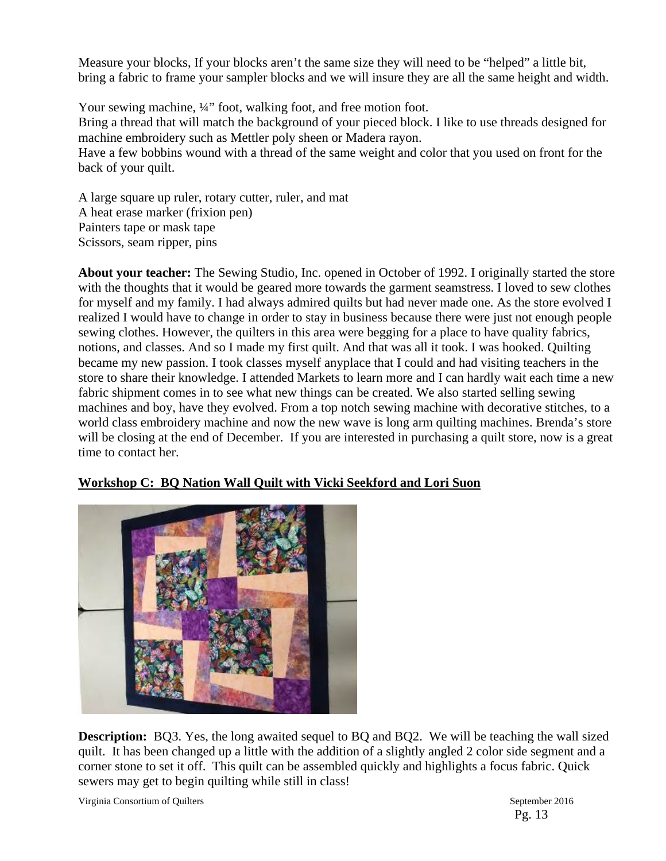Measure your blocks, If your blocks aren't the same size they will need to be "helped" a little bit, bring a fabric to frame your sampler blocks and we will insure they are all the same height and width.

Your sewing machine,  $\frac{1}{4}$ " foot, walking foot, and free motion foot. Bring a thread that will match the background of your pieced block. I like to use threads designed for machine embroidery such as Mettler poly sheen or Madera rayon. Have a few bobbins wound with a thread of the same weight and color that you used on front for the back of your quilt.

A large square up ruler, rotary cutter, ruler, and mat A heat erase marker (frixion pen) Painters tape or mask tape Scissors, seam ripper, pins

**About your teacher:** The Sewing Studio, Inc. opened in October of 1992. I originally started the store with the thoughts that it would be geared more towards the garment seamstress. I loved to sew clothes for myself and my family. I had always admired quilts but had never made one. As the store evolved I realized I would have to change in order to stay in business because there were just not enough people sewing clothes. However, the quilters in this area were begging for a place to have quality fabrics, notions, and classes. And so I made my first quilt. And that was all it took. I was hooked. Quilting became my new passion. I took classes myself anyplace that I could and had visiting teachers in the store to share their knowledge. I attended Markets to learn more and I can hardly wait each time a new fabric shipment comes in to see what new things can be created. We also started selling sewing machines and boy, have they evolved. From a top notch sewing machine with decorative stitches, to a world class embroidery machine and now the new wave is long arm quilting machines. Brenda's store will be closing at the end of December. If you are interested in purchasing a quilt store, now is a great time to contact her.

# **Workshop C: BQ Nation Wall Quilt with Vicki Seekford and Lori Suon**



**Description:** BQ3. Yes, the long awaited sequel to BQ and BQ2. We will be teaching the wall sized quilt. It has been changed up a little with the addition of a slightly angled 2 color side segment and a corner stone to set it off. This quilt can be assembled quickly and highlights a focus fabric. Quick sewers may get to begin quilting while still in class!

Virginia Consortium of Quilters  $\blacksquare$  September 2016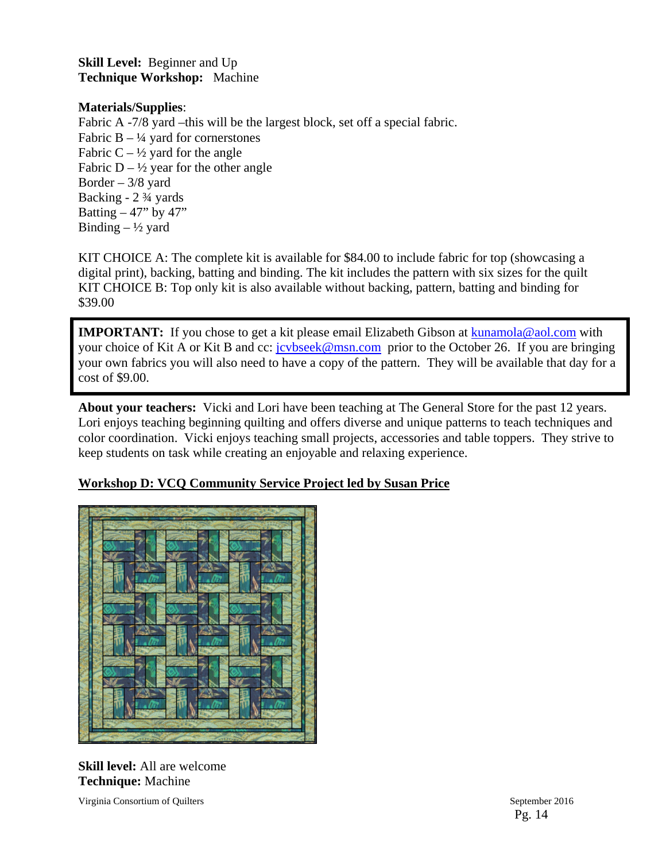**Skill Level:** Beginner and Up **Technique Workshop:** Machine

### **Materials/Supplies**:

Fabric A -7/8 yard –this will be the largest block, set off a special fabric. Fabric B –  $\frac{1}{4}$  yard for cornerstones Fabric  $C - \frac{1}{2}$  yard for the angle Fabric  $D - \frac{1}{2}$  year for the other angle Border  $-3/8$  yard Backing - 2 ¾ yards Batting  $-47$ " by  $47$ " Binding  $- \frac{1}{2}$  yard

KIT CHOICE A: The complete kit is available for \$84.00 to include fabric for top (showcasing a digital print), backing, batting and binding. The kit includes the pattern with six sizes for the quilt KIT CHOICE B: Top only kit is also available without backing, pattern, batting and binding for \$39.00

**IMPORTANT:** If you chose to get a kit please email Elizabeth Gibson at kunamola@aol.com with your choice of Kit A or Kit B and cc: jcvbseek@msn.com prior to the October 26. If you are bringing your own fabrics you will also need to have a copy of the pattern. They will be available that day for a cost of \$9.00.

**About your teachers:** Vicki and Lori have been teaching at The General Store for the past 12 years. Lori enjoys teaching beginning quilting and offers diverse and unique patterns to teach techniques and color coordination. Vicki enjoys teaching small projects, accessories and table toppers. They strive to keep students on task while creating an enjoyable and relaxing experience.

# **Workshop D: VCQ Community Service Project led by Susan Price**



**Skill level:** All are welcome **Technique:** Machine

Virginia Consortium of Quilters September 2016

Pg. 14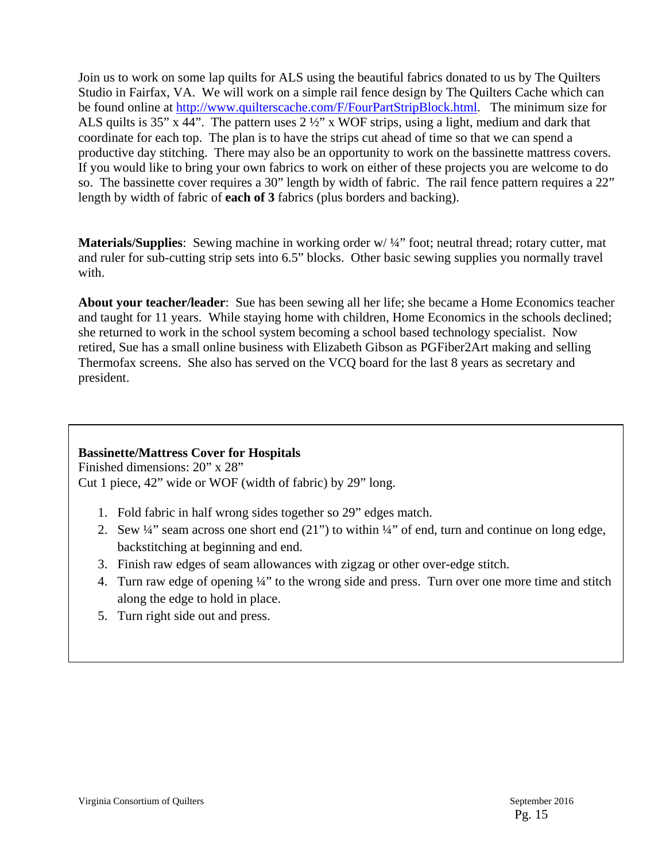Join us to work on some lap quilts for ALS using the beautiful fabrics donated to us by The Quilters Studio in Fairfax, VA. We will work on a simple rail fence design by The Quilters Cache which can be found online at http://www.quilterscache.com/F/FourPartStripBlock.html. The minimum size for ALS quilts is 35" x 44". The pattern uses 2 ½" x WOF strips, using a light, medium and dark that coordinate for each top. The plan is to have the strips cut ahead of time so that we can spend a productive day stitching. There may also be an opportunity to work on the bassinette mattress covers. If you would like to bring your own fabrics to work on either of these projects you are welcome to do so. The bassinette cover requires a 30" length by width of fabric. The rail fence pattern requires a 22" length by width of fabric of **each of 3** fabrics (plus borders and backing).

**Materials/Supplies**: Sewing machine in working order w/ $\frac{1}{4}$  foot; neutral thread; rotary cutter, mat and ruler for sub-cutting strip sets into 6.5" blocks. Other basic sewing supplies you normally travel with.

**About your teacher/leader**: Sue has been sewing all her life; she became a Home Economics teacher and taught for 11 years. While staying home with children, Home Economics in the schools declined; she returned to work in the school system becoming a school based technology specialist. Now retired, Sue has a small online business with Elizabeth Gibson as PGFiber2Art making and selling Thermofax screens. She also has served on the VCQ board for the last 8 years as secretary and president.

## **Bassinette/Mattress Cover for Hospitals**

Finished dimensions: 20" x 28" Cut 1 piece, 42" wide or WOF (width of fabric) by 29" long.

- 1. Fold fabric in half wrong sides together so 29" edges match.
- 2. Sew  $\frac{1}{4}$  seam across one short end (21") to within  $\frac{1}{4}$  of end, turn and continue on long edge, backstitching at beginning and end.
- 3. Finish raw edges of seam allowances with zigzag or other over-edge stitch.
- 4. Turn raw edge of opening ¼" to the wrong side and press. Turn over one more time and stitch along the edge to hold in place.
- 5. Turn right side out and press.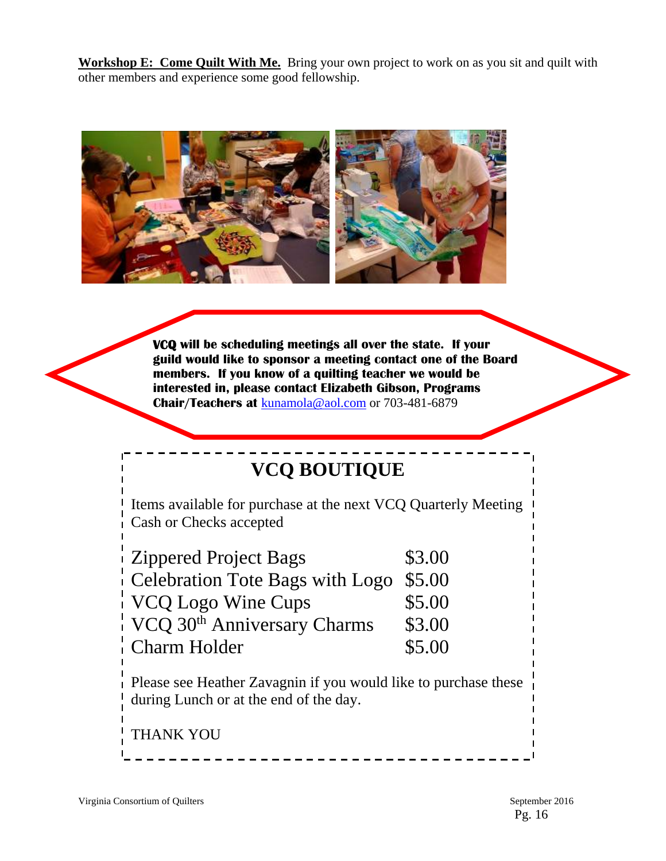**Workshop E: Come Quilt With Me.** Bring your own project to work on as you sit and quilt with other members and experience some good fellowship.



*<u><b>*</u> **VCQ will be scheduling meetings all over the state. If your guild would like to sponsor a meeting contact one of the Board members. If you know of a quilting teacher we would be interested in, please contact Elizabeth Gibson, Programs Chair/Teachers at** kunamola@aol.com or 703-481-6879

# **VCQ BOUTIQUE**

Items available for purchase at the next VCQ Quarterly Meeting Cash or Checks accepted

| <b>Zippered Project Bags</b>                           | \$3.00 |
|--------------------------------------------------------|--------|
| Celebration Tote Bags with Logo $$5.00$                |        |
| VCQ Logo Wine Cups                                     | \$5.00 |
| VCQ 30 <sup>th</sup> Anniversary Charms                | \$3.00 |
| Charm Holder                                           | \$5.00 |
| Dlagge gas Hosthor Zovegnin if you would like to purel |        |

Please see Heather Zavagnin if you would like to purchase these during Lunch or at the end of the day.

\_ \_ \_ \_ \_ \_ \_ \_ \_ \_ \_ \_ \_ \_ \_

THANK YOU

l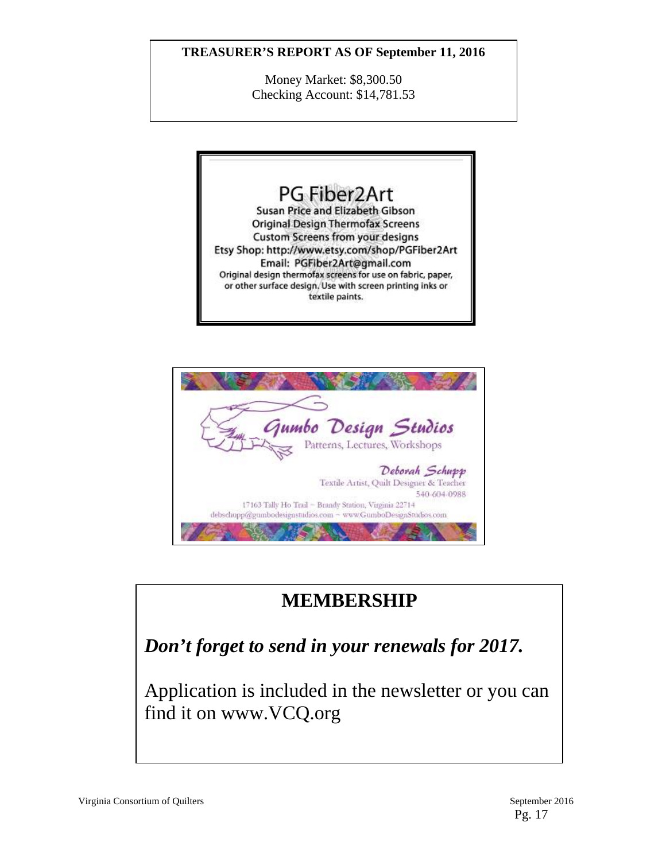## **TREASURER'S REPORT AS OF September 11, 2016**

Money Market: \$8,300.50 Checking Account: \$14,781.53





# **MEMBERSHIP**

*Don't forget to send in your renewals for 2017.*

Application is included in the newsletter or you can find it on www.VCQ.org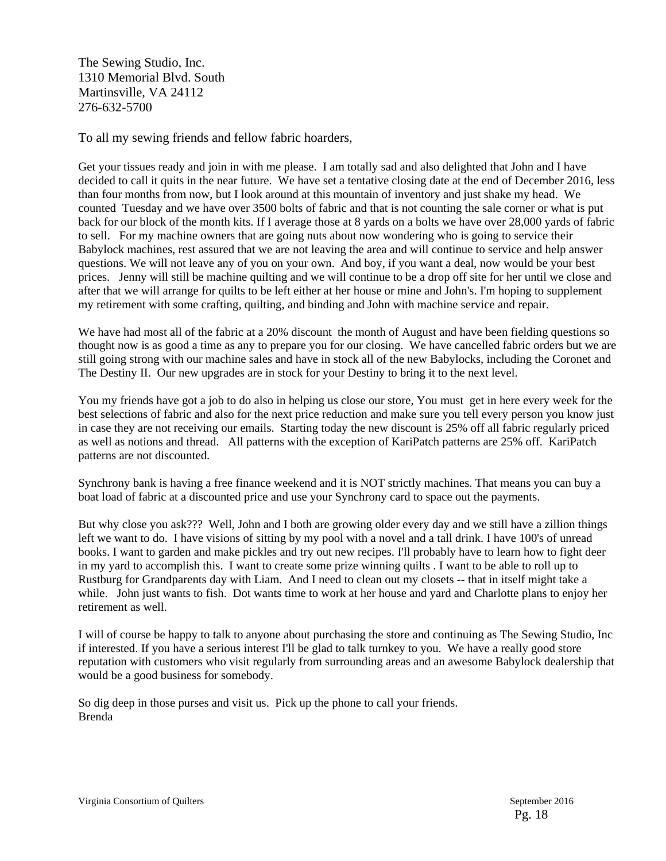The Sewing Studio, Inc. 1310 Memorial Blvd. South Martinsville, VA 24112 276-632-5700

To all my sewing friends and fellow fabric hoarders,

Get your tissues ready and join in with me please. I am totally sad and also delighted that John and I have decided to call it quits in the near future. We have set a tentative closing date at the end of December 2016, less than four months from now, but I look around at this mountain of inventory and just shake my head. We counted Tuesday and we have over 3500 bolts of fabric and that is not counting the sale corner or what is put back for our block of the month kits. If I average those at 8 yards on a bolts we have over 28,000 yards of fabric to sell. For my machine owners that are going nuts about now wondering who is going to service their Babylock machines, rest assured that we are not leaving the area and will continue to service and help answer questions. We will not leave any of you on your own. And boy, if you want a deal, now would be your best prices. Jenny will still be machine quilting and we will continue to be a drop off site for her until we close and after that we will arrange for quilts to be left either at her house or mine and John's. I'm hoping to supplement my retirement with some crafting, quilting, and binding and John with machine service and repair.

We have had most all of the fabric at a 20% discount the month of August and have been fielding questions so thought now is as good a time as any to prepare you for our closing. We have cancelled fabric orders but we are still going strong with our machine sales and have in stock all of the new Babylocks, including the Coronet and The Destiny II. Our new upgrades are in stock for your Destiny to bring it to the next level.

You my friends have got a job to do also in helping us close our store, You must get in here every week for the best selections of fabric and also for the next price reduction and make sure you tell every person you know just in case they are not receiving our emails. Starting today the new discount is 25% off all fabric regularly priced as well as notions and thread. All patterns with the exception of KariPatch patterns are 25% off. KariPatch patterns are not discounted.

Synchrony bank is having a free finance weekend and it is NOT strictly machines. That means you can buy a boat load of fabric at a discounted price and use your Synchrony card to space out the payments.

But why close you ask??? Well, John and I both are growing older every day and we still have a zillion things left we want to do. I have visions of sitting by my pool with a novel and a tall drink. I have 100's of unread books. I want to garden and make pickles and try out new recipes. I'll probably have to learn how to fight deer in my yard to accomplish this. I want to create some prize winning quilts . I want to be able to roll up to Rustburg for Grandparents day with Liam. And I need to clean out my closets -- that in itself might take a while. John just wants to fish. Dot wants time to work at her house and yard and Charlotte plans to enjoy her retirement as well.

I will of course be happy to talk to anyone about purchasing the store and continuing as The Sewing Studio, Inc if interested. If you have a serious interest I'll be glad to talk turnkey to you. We have a really good store reputation with customers who visit regularly from surrounding areas and an awesome Babylock dealership that would be a good business for somebody.

So dig deep in those purses and visit us. Pick up the phone to call your friends. Brenda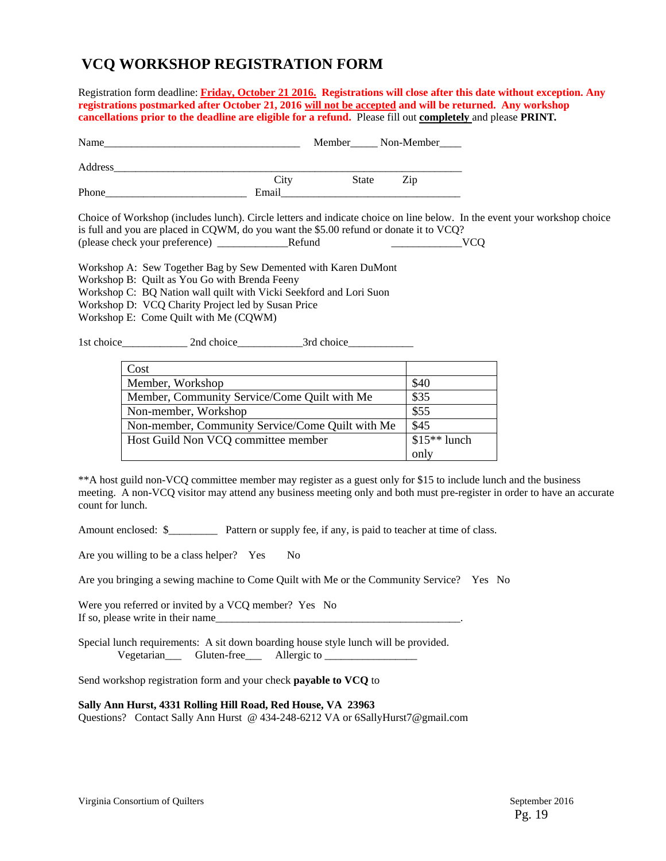# **VCQ WORKSHOP REGISTRATION FORM**

Registration form deadline: **Friday, October 21 2016.****Registrations will close after this date without exception. Any registrations postmarked after October 21, 2016 will not be accepted and will be returned. Any workshop cancellations prior to the deadline are eligible for a refund.** Please fill out **completely** and please **PRINT***.* 

| Name                                                                                      |       |       | Member Non-Member |
|-------------------------------------------------------------------------------------------|-------|-------|-------------------|
|                                                                                           |       |       |                   |
|                                                                                           | City  | State | Zip               |
| Phone                                                                                     | Email |       |                   |
| Choice of Workshop (includes lunch). Circle letters and indicate choice on line below. In |       |       |                   |

the event your workshop choice is full and you are placed in CQWM, do you want the \$5.00 refund or donate it to VCQ? (please check your preference) \_\_\_\_\_\_\_\_\_\_\_\_\_Refund \_\_\_\_\_\_\_\_\_\_\_\_\_VCQ

Workshop A: Sew Together Bag by Sew Demented with Karen DuMont Workshop B: Quilt as You Go with Brenda Feeny Workshop C: BQ Nation wall quilt with Vicki Seekford and Lori Suon Workshop D: VCQ Charity Project led by Susan Price Workshop E: Come Quilt with Me (CQWM)

1st choice 2nd choice 3rd choice

| Cost                                             |               |
|--------------------------------------------------|---------------|
| Member, Workshop                                 | \$40          |
| Member, Community Service/Come Quilt with Me     | \$35          |
| Non-member, Workshop                             | \$55          |
| Non-member, Community Service/Come Quilt with Me | \$45          |
| Host Guild Non VCQ committee member              | $$15**$ lunch |
|                                                  | only          |

\*\*A host guild non-VCQ committee member may register as a guest only for \$15 to include lunch and the business meeting. A non-VCQ visitor may attend any business meeting only and both must pre-register in order to have an accurate count for lunch.

Amount enclosed:  $\frac{1}{2}$  Pattern or supply fee, if any, is paid to teacher at time of class.

Are you willing to be a class helper? Yes No

Are you bringing a sewing machine to Come Quilt with Me or the Community Service? Yes No

Were you referred or invited by a VCQ member? Yes No If so, please write in their name

Special lunch requirements: A sit down boarding house style lunch will be provided. Vegetarian Gluten-free Allergic to

Send workshop registration form and your check **payable to VCQ** to

#### **Sally Ann Hurst, 4331 Rolling Hill Road, Red House, VA 23963**

Questions? Contact Sally Ann Hurst @ 434-248-6212 VA or 6SallyHurst7@gmail.com